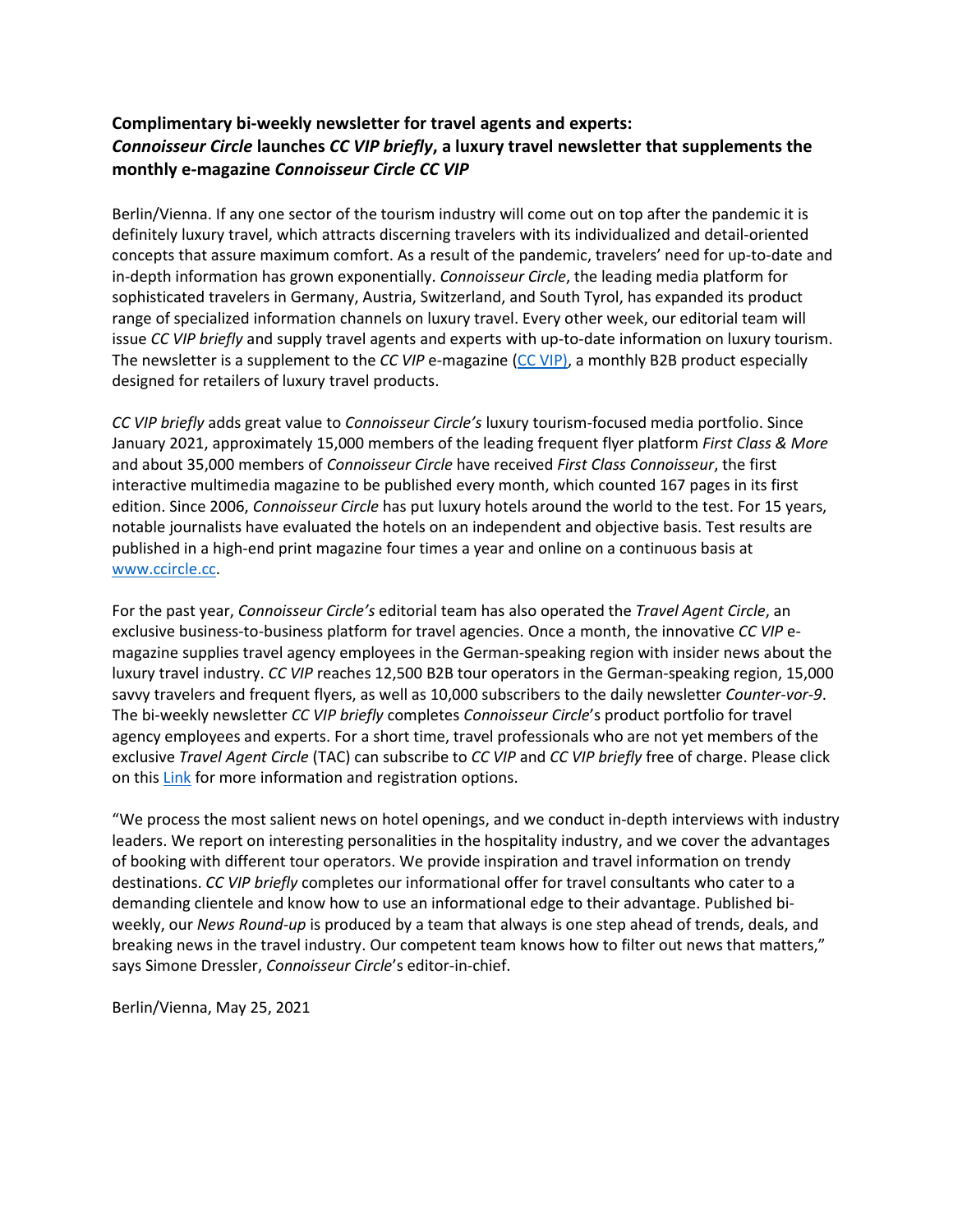## **Complimentary bi-weekly newsletter for travel agents and experts:** *Connoisseur Circle* **launches** *CC VIP briefly***, a luxury travel newsletter that supplements the monthly e-magazine** *Connoisseur Circle CC VIP*

Berlin/Vienna. If any one sector of the tourism industry will come out on top after the pandemic it is definitely luxury travel, which attracts discerning travelers with its individualized and detail-oriented concepts that assure maximum comfort. As a result of the pandemic, travelers' need for up-to-date and in-depth information has grown exponentially. *Connoisseur Circle*, the leading media platform for sophisticated travelers in Germany, Austria, Switzerland, and South Tyrol, has expanded its product range of specialized information channels on luxury travel. Every other week, our editorial team will issue *CC VIP briefly* and supply travel agents and experts with up-to-date information on luxury tourism. The newsletter is a supplement to the *CC VIP* e-magazine [\(CC VIP\)](https://magazin.ccircle.cc/cc-vip-04-2021), a monthly B2B product especially designed for retailers of luxury travel products.

*CC VIP briefly* adds great value to *Connoisseur Circle's* luxury tourism-focused media portfolio. Since January 2021, approximately 15,000 members of the leading frequent flyer platform *First Class & More* and about 35,000 members of *Connoisseur Circle* have received *First Class Connoisseur*, the first interactive multimedia magazine to be published every month, which counted 167 pages in its first edition. Since 2006, *Connoisseur Circle* has put luxury hotels around the world to the test. For 15 years, notable journalists have evaluated the hotels on an independent and objective basis. Test results are published in a high-end print magazine four times a year and online on a continuous basis at [www.ccircle.cc.](http://www.ccircle.cc/)

For the past year, *Connoisseur Circle's* editorial team has also operated the *Travel Agent Circle*, an exclusive business-to-business platform for travel agencies. Once a month, the innovative *CC VIP* emagazine supplies travel agency employees in the German-speaking region with insider news about the luxury travel industry. *CC VIP* reaches 12,500 B2B tour operators in the German-speaking region, 15,000 savvy travelers and frequent flyers, as well as 10,000 subscribers to the daily newsletter *Counter-vor-9*. The bi-weekly newsletter *CC VIP briefly* completes *Connoisseur Circle*'s product portfolio for travel agency employees and experts. For a short time, travel professionals who are not yet members of the exclusive *Travel Agent Circle* (TAC) can subscribe to *CC VIP* and *CC VIP briefly* free of charge. Please click on this [Link](https://ccircle.cc/b2b/ccvip/) for more information and registration options.

"We process the most salient news on hotel openings, and we conduct in-depth interviews with industry leaders. We report on interesting personalities in the hospitality industry, and we cover the advantages of booking with different tour operators. We provide inspiration and travel information on trendy destinations. *CC VIP briefly* completes our informational offer for travel consultants who cater to a demanding clientele and know how to use an informational edge to their advantage. Published biweekly, our *News Round-up* is produced by a team that always is one step ahead of trends, deals, and breaking news in the travel industry. Our competent team knows how to filter out news that matters," says Simone Dressler, *Connoisseur Circle*'s editor-in-chief.

Berlin/Vienna, May 25, 2021